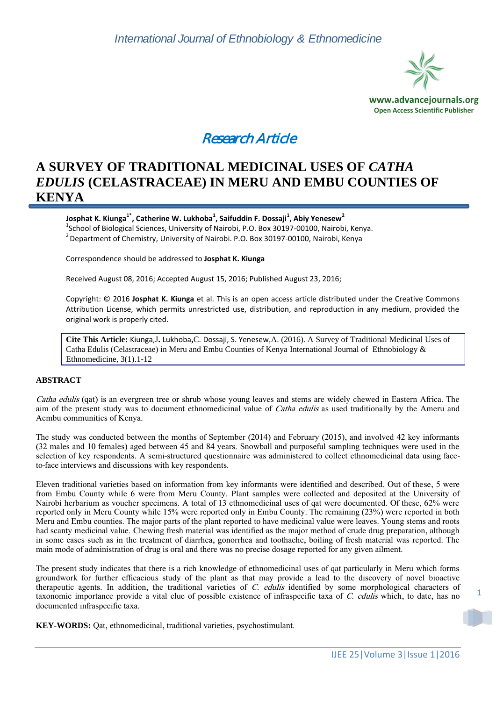

# Research Article

# **A SURVEY OF TRADITIONAL MEDICINAL USES OF** *CATHA EDULIS* **(CELASTRACEAE) IN MERU AND EMBU COUNTIES OF KENYA**

**Josphat K. Kiunga1\*, Catherine W. Lukhoba<sup>1</sup> , Saifuddin F. Dossaji<sup>1</sup> , Abiy Yenesew<sup>2</sup>**  $^1$ School of Biological Sciences, University of Nairobi, P.O. Box 30197-00100, Nairobi, Kenya.  $2$  Department of Chemistry, University of Nairobi. P.O. Box 30197-00100, Nairobi, Kenya

Correspondence should be addressed to **Josphat K. Kiunga**

Received August 08, 2016; Accepted August 15, 2016; Published August 23, 2016;

Copyright: © 2016 **Josphat K. Kiunga** et al. This is an open access article distributed under the Creative Commons Attribution License, which permits unrestricted use, distribution, and reproduction in any medium, provided the original work is properly cited.

**Cite This Article:** Kiunga,J**.** Lukhoba**,**C. Dossaji, S. Yenesew,A. (2016). A Survey of Traditional Medicinal Uses of Catha Edulis (Celastraceae) in Meru and Embu Counties of Kenya International Journal of Ethnobiology & Ethnomedicine, 3(1).1-12

# **ABSTRACT**

Catha edulis (qat) is an evergreen tree or shrub whose young leaves and stems are widely chewed in Eastern Africa. The aim of the present study was to document ethnomedicinal value of *Catha edulis* as used traditionally by the Ameru and Aembu communities of Kenya.

The study was conducted between the months of September (2014) and February (2015), and involved 42 key informants (32 males and 10 females) aged between 45 and 84 years. Snowball and purposeful sampling techniques were used in the selection of key respondents. A semi-structured questionnaire was administered to collect ethnomedicinal data using faceto-face interviews and discussions with key respondents.

Eleven traditional varieties based on information from key informants were identified and described. Out of these, 5 were from Embu County while 6 were from Meru County. Plant samples were collected and deposited at the University of Nairobi herbarium as voucher specimens. A total of 13 ethnomedicinal uses of qat were documented. Of these, 62% were reported only in Meru County while 15% were reported only in Embu County. The remaining (23%) were reported in both Meru and Embu counties. The major parts of the plant reported to have medicinal value were leaves. Young stems and roots had scanty medicinal value. Chewing fresh material was identified as the major method of crude drug preparation, although in some cases such as in the treatment of diarrhea, gonorrhea and toothache, boiling of fresh material was reported. The main mode of administration of drug is oral and there was no precise dosage reported for any given ailment.

The present study indicates that there is a rich knowledge of ethnomedicinal uses of qat particularly in Meru which forms groundwork for further efficacious study of the plant as that may provide a lead to the discovery of novel bioactive therapeutic agents. In addition, the traditional varieties of C. edulis identified by some morphological characters of taxonomic importance provide a vital clue of possible existence of infraspecific taxa of C. edulis which, to date, has no documented infraspecific taxa.

**KEY-WORDS:** Qat, ethnomedicinal, traditional varieties, psychostimulant.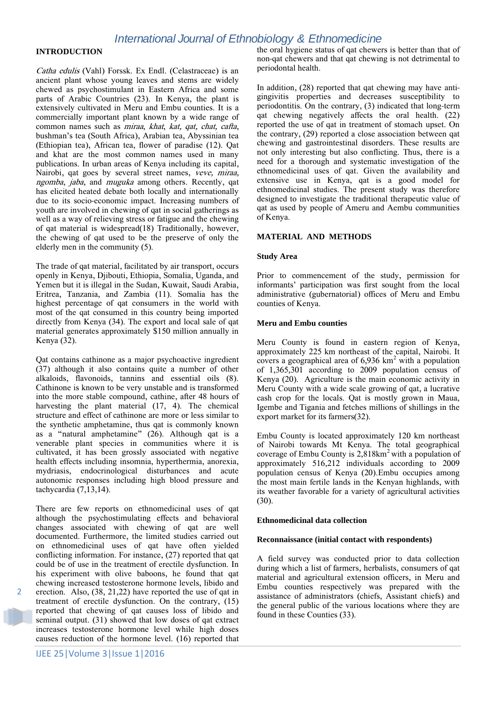# **INTRODUCTION**

Catha edulis (Vahl) Forssk. Ex Endl. (Celastraceae) is an ancient plant whose young leaves and stems are widely chewed as psychostimulant in Eastern Africa and some parts of Arabic Countries (23). In Kenya, the plant is extensively cultivated in Meru and Embu counties. It is a commercially important plant known by a wide range of common names such as miraa, khat, kat, qat, chat, cafta, bushman's tea (South Africa), Arabian tea, Abyssinian tea (Ethiopian tea), African tea, flower of paradise (12). Qat and khat are the most common names used in many publications. In urban areas of Kenya including its capital, Nairobi, qat goes by several street names, veve, miraa, ngomba, jaba, and muguka among others. Recently, qat has elicited heated debate both locally and internationally due to its socio-economic impact. Increasing numbers of youth are involved in chewing of qat in social gatherings as well as a way of relieving stress or fatigue and the chewing of qat material is widespread(18) Traditionally, however, the chewing of qat used to be the preserve of only the elderly men in the community (5).

The trade of qat material, facilitated by air transport, occurs openly in Kenya, Djibouti, Ethiopia, Somalia, Uganda, and Yemen but it is illegal in the Sudan, Kuwait, Saudi Arabia, Eritrea, Tanzania, and Zambia (11). Somalia has the highest percentage of qat consumers in the world with most of the qat consumed in this country being imported directly from Kenya (34). The export and local sale of qat material generates approximately \$150 million annually in Kenya (32).

Qat contains cathinone as a major psychoactive ingredient (37) although it also contains quite a number of other alkaloids, flavonoids, tannins and essential oils (8). Cathinone is known to be very unstable and is transformed into the more stable compound, cathine, after 48 hours of harvesting the plant material (17, 4). The chemical structure and effect of cathinone are more or less similar to the synthetic amphetamine, thus qat is commonly known as a 'natural amphetamine' (26). Although qat is a venerable plant species in communities where it is cultivated, it has been grossly associated with negative health effects including insomnia, hyperthermia, anorexia, mydriasis, endocrinological disturbances and acute autonomic responses including high blood pressure and tachycardia (7,13,14).

There are few reports on ethnomedicinal uses of qat although the psychostimulating effects and behavioral changes associated with chewing of qat are well documented. Furthermore, the limited studies carried out on ethnomedicinal uses of qat have often yielded conflicting information. For instance, (27) reported that qat could be of use in the treatment of erectile dysfunction. In his experiment with olive baboons, he found that qat chewing increased testosterone hormone levels, libido and erection. Also, (38, 21,22) have reported the use of qat in treatment of erectile dysfunction. On the contrary, (15) reported that chewing of qat causes loss of libido and seminal output. (31) showed that low doses of qat extract increases testosterone hormone level while high doses causes reduction of the hormone level. (16) reported that

 $\overline{\phantom{a}}$ 

the oral hygiene status of qat chewers is better than that of non-qat chewers and that qat chewing is not detrimental to periodontal health.

In addition, (28) reported that qat chewing may have antigingivitis properties and decreases susceptibility to periodontitis. On the contrary, (3) indicated that long-term qat chewing negatively affects the oral health. (22) reported the use of qat in treatment of stomach upset. On the contrary, (29) reported a close association between qat chewing and gastrointestinal disorders. These results are not only interesting but also conflicting. Thus, there is a need for a thorough and systematic investigation of the ethnomedicinal uses of qat. Given the availability and extensive use in Kenya, qat is a good model for ethnomedicinal studies. The present study was therefore designed to investigate the traditional therapeutic value of qat as used by people of Ameru and Aembu communities of Kenya.

### **MATERIAL AND METHODS**

### **Study Area**

Prior to commencement of the study, permission for informants' participation was first sought from the local administrative (gubernatorial) offices of Meru and Embu counties of Kenya.

### **Meru and Embu counties**

Meru County is found in eastern region of Kenya, approximately 225 km northeast of the capital, Nairobi. It covers a geographical area of  $6,936$  km<sup>2</sup> with a population of 1,365,301 according to 2009 population census of Kenya (20). Agriculture is the main economic activity in Meru County with a wide scale growing of qat, a lucrative cash crop for the locals. Qat is mostly grown in Maua, Igembe and Tigania and fetches millions of shillings in the export market for its farmers(32).

Embu County is located approximately 120 km northeast of Nairobi towards Mt Kenya. The total geographical coverage of Embu County is  $2,818 \text{km}^2$  with a population of approximately 516,212 individuals according to 2009 population census of Kenya (20).Embu occupies among the most main fertile lands in the Kenyan highlands, with its weather favorable for a variety of agricultural activities (30).

#### **Ethnomedicinal data collection**

#### **Reconnaissance (initial contact with respondents)**

A field survey was conducted prior to data collection during which a list of farmers, herbalists, consumers of qat material and agricultural extension officers, in Meru and Embu counties respectively was prepared with the assistance of administrators (chiefs, Assistant chiefs) and the general public of the various locations where they are found in these Counties (33).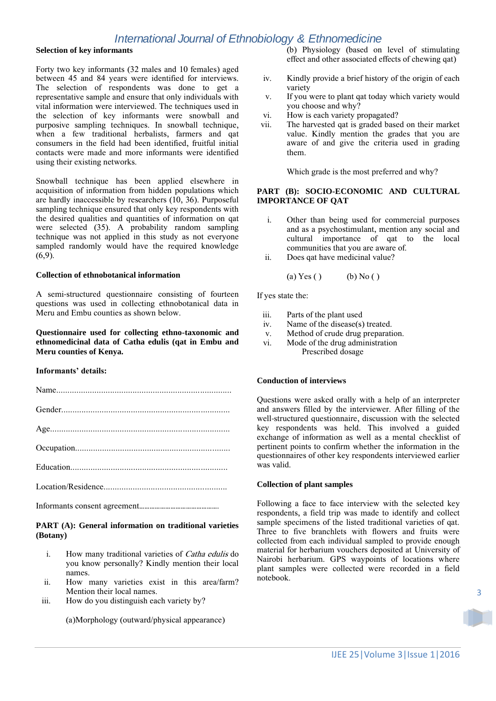# **Selection of key informants**

Forty two key informants (32 males and 10 females) aged between 45 and 84 years were identified for interviews. The selection of respondents was done to get a representative sample and ensure that only individuals with vital information were interviewed. The techniques used in the selection of key informants were snowball and purposive sampling techniques. In snowball technique, when a few traditional herbalists, farmers and qat consumers in the field had been identified, fruitful initial contacts were made and more informants were identified using their existing networks.

Snowball technique has been applied elsewhere in acquisition of information from hidden populations which are hardly inaccessible by researchers (10, 36). Purposeful sampling technique ensured that only key respondents with the desired qualities and quantities of information on qat were selected (35). A probability random sampling technique was not applied in this study as not everyone sampled randomly would have the required knowledge (6,9).

### **Collection of ethnobotanical information**

A semi-structured questionnaire consisting of fourteen questions was used in collecting ethnobotanical data in Meru and Embu counties as shown below.

**Questionnaire used for collecting ethno-taxonomic and ethnomedicinal data of Catha edulis (qat in Embu and Meru counties of Kenya.**

### **Informants' details:**

### **PART (A): General information on traditional varieties (Botany)**

- i. How many traditional varieties of Catha edulis do you know personally? Kindly mention their local names.
- ii. How many varieties exist in this area/farm? Mention their local names.
- iii. How do you distinguish each variety by?

(a)Morphology (outward/physical appearance)

(b) Physiology (based on level of stimulating effect and other associated effects of chewing qat)

- iv. Kindly provide a brief history of the origin of each variety
- v. If you were to plant qat today which variety would you choose and why?
- vi. How is each variety propagated?
- vii. The harvested qat is graded based on their market value. Kindly mention the grades that you are aware of and give the criteria used in grading them.

Which grade is the most preferred and why?

### **PART (B): SOCIO-ECONOMIC AND CULTURAL IMPORTANCE OF QAT**

- i. Other than being used for commercial purposes and as a psychostimulant, mention any social and cultural importance of qat to the local communities that you are aware of.
- ii. Does qat have medicinal value?

(a) Yes ( ) (b) No ( )

If yes state the:

- iii. Parts of the plant used
- iv. Name of the disease(s) treated.
- v. Method of crude drug preparation.
- vi. Mode of the drug administration Prescribed dosage

### **Conduction of interviews**

Questions were asked orally with a help of an interpreter and answers filled by the interviewer. After filling of the well-structured questionnaire, discussion with the selected key respondents was held. This involved a guided exchange of information as well as a mental checklist of pertinent points to confirm whether the information in the questionnaires of other key respondents interviewed earlier was valid.

#### **Collection of plant samples**

Following a face to face interview with the selected key respondents, a field trip was made to identify and collect sample specimens of the listed traditional varieties of qat. Three to five branchlets with flowers and fruits were collected from each individual sampled to provide enough material for herbarium vouchers deposited at University of Nairobi herbarium. GPS waypoints of locations where plant samples were collected were recorded in a field notebook.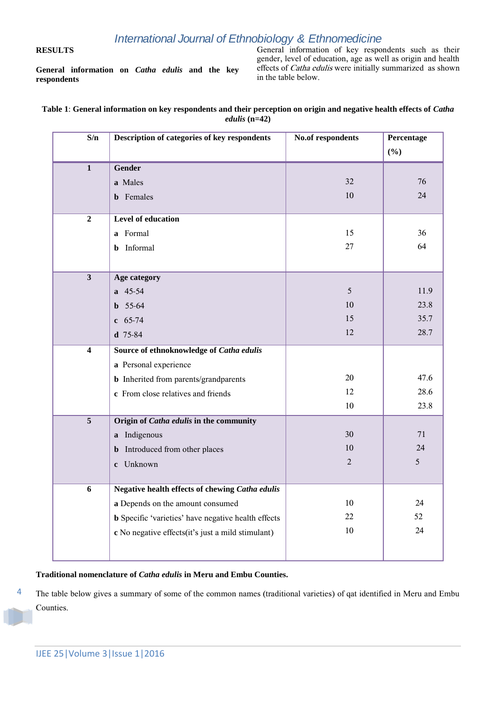# **RESULTS**

**General information on** *Catha edulis* **and the key respondents**

General information of key respondents such as their gender, level of education, age as well as origin and health effects of Catha edulis were initially summarized as shown in the table below.

## **Table 1**: **General information on key respondents and their perception on origin and negative health effects of** *Catha edulis* **(n=42)**

| S/n                     | Description of categories of key respondents               | No.of respondents | Percentage |
|-------------------------|------------------------------------------------------------|-------------------|------------|
|                         |                                                            |                   | (%)        |
| $\overline{\mathbf{1}}$ | <b>Gender</b>                                              |                   |            |
|                         | a Males                                                    | 32                | 76         |
|                         | <b>b</b> Females                                           | 10                | 24         |
| $\overline{2}$          | Level of education                                         |                   |            |
|                         | a Formal                                                   | 15                | 36         |
|                         | Informal<br>b.                                             | 27                | 64         |
|                         |                                                            |                   |            |
| $\overline{\mathbf{3}}$ | Age category                                               |                   |            |
|                         | a 45-54                                                    | 5                 | 11.9       |
|                         | $b$ 55-64                                                  | 10                | 23.8       |
|                         | $c$ 65-74                                                  | 15                | 35.7       |
|                         | $d$ 75-84                                                  | 12                | 28.7       |
| $\overline{\mathbf{4}}$ | Source of ethnoknowledge of Catha edulis                   |                   |            |
|                         | a Personal experience                                      |                   |            |
|                         | <b>b</b> Inherited from parents/grandparents               | 20                | 47.6       |
|                         | c From close relatives and friends                         | 12                | 28.6       |
|                         |                                                            | 10                | 23.8       |
| $\overline{5}$          | Origin of <i>Catha edulis</i> in the community             |                   |            |
|                         | a Indigenous                                               | 30                | 71         |
|                         | Introduced from other places<br>$\mathbf{b}$               | 10                | 24         |
|                         | c Unknown                                                  | 2                 | 5          |
| 6                       | Negative health effects of chewing Catha edulis            |                   |            |
|                         | a Depends on the amount consumed                           | 10                | 24         |
|                         | <b>b</b> Specific 'varieties' have negative health effects | 22                | 52         |
|                         | c No negative effects (it's just a mild stimulant)         | 10                | 24         |
|                         |                                                            |                   |            |
|                         |                                                            |                   |            |

# **Traditional nomenclature of** *Catha edulis* **in Meru and Embu Counties.**

4 The table below gives a summary of some of the common names (traditional varieties) of qat identified in Meru and Embu Counties.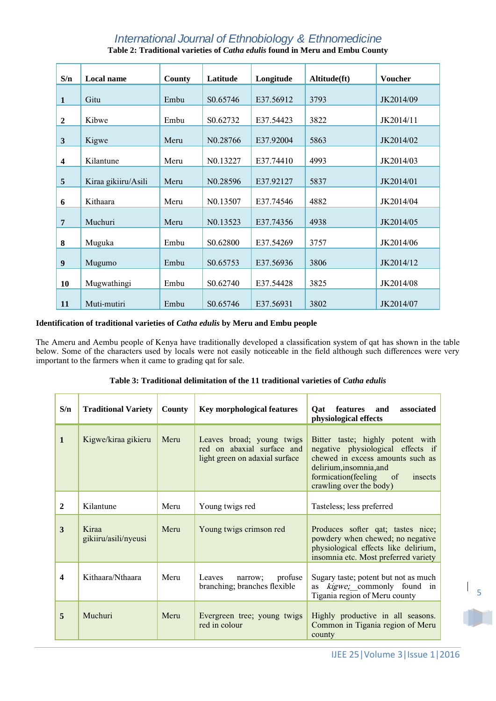| S/n                     | Local name          | County | Latitude             | Longitude | Altitude(ft) | <b>Voucher</b> |
|-------------------------|---------------------|--------|----------------------|-----------|--------------|----------------|
| $\mathbf{1}$            | Gitu                | Embu   | S0.65746             | E37.56912 | 3793         | JK2014/09      |
| $\boldsymbol{2}$        | Kibwe               | Embu   | S0.62732             | E37.54423 | 3822         | JK2014/11      |
| $\mathbf{3}$            | Kigwe               | Meru   | N <sub>0.28766</sub> | E37.92004 | 5863         | JK2014/02      |
| $\overline{\mathbf{4}}$ | Kilantune           | Meru   | N <sub>0.13227</sub> | E37.74410 | 4993         | JK2014/03      |
| 5                       | Kiraa gikiiru/Asili | Meru   | N0.28596             | E37.92127 | 5837         | JK2014/01      |
| 6                       | Kithaara            | Meru   | N <sub>0.13507</sub> | E37.74546 | 4882         | JK2014/04      |
| $\overline{7}$          | Muchuri             | Meru   | N0.13523             | E37.74356 | 4938         | JK2014/05      |
| 8                       | Muguka              | Embu   | S0.62800             | E37.54269 | 3757         | JK2014/06      |
| $\boldsymbol{9}$        | Mugumo              | Embu   | S0.65753             | E37.56936 | 3806         | JK2014/12      |
| 10                      | Mugwathingi         | Embu   | S0.62740             | E37.54428 | 3825         | JK2014/08      |
| 11                      | Muti-mutiri         | Embu   | S0.65746             | E37.56931 | 3802         | JK2014/07      |

# **Table 2: Traditional varieties of** *Catha edulis* **found in Meru and Embu County**

## **Identification of traditional varieties of** *Catha edulis* **by Meru and Embu people**

The Ameru and Aembu people of Kenya have traditionally developed a classification system of qat has shown in the table below. Some of the characters used by locals were not easily noticeable in the field although such differences were very important to the farmers when it came to grading qat for sale.

| Table 3: Traditional delimitation of the 11 traditional varieties of <i>Catha edulis</i> |  |  |
|------------------------------------------------------------------------------------------|--|--|
|------------------------------------------------------------------------------------------|--|--|

| S/n                     | <b>Traditional Variety</b>    | County | <b>Key morphological features</b>                                                         | features<br>and<br>associated<br>Qat<br>physiological effects                                                                                                                                     |
|-------------------------|-------------------------------|--------|-------------------------------------------------------------------------------------------|---------------------------------------------------------------------------------------------------------------------------------------------------------------------------------------------------|
| $\mathbf{1}$            | Kigwe/kiraa gikieru           | Meru   | Leaves broad; young twigs<br>red on abaxial surface and<br>light green on adaxial surface | Bitter taste; highly potent with<br>negative physiological effects if<br>chewed in excess amounts such as<br>delirium, insomnia, and<br>formication(feeling of insects<br>crawling over the body) |
| $\mathbf{2}$            | Kilantune                     | Meru   | Young twigs red                                                                           | Tasteless; less preferred                                                                                                                                                                         |
| 3                       | Kiraa<br>gikiiru/asili/nyeusi | Meru   | Young twigs crimson red                                                                   | Produces softer qat; tastes nice;<br>powdery when chewed; no negative<br>physiological effects like delirium,<br>insomnia etc. Most preferred variety                                             |
| $\overline{\mathbf{4}}$ | Kithaara/Nthaara              | Meru   | Leaves<br>profuse<br>narrow;<br>branching; branches flexible                              | Sugary taste; potent but not as much<br>as kigwe; commonly found in<br>Tigania region of Meru county                                                                                              |
| 5                       | Muchuri                       | Meru   | Evergreen tree; young twigs<br>red in colour                                              | Highly productive in all seasons.<br>Common in Tigania region of Meru<br>county                                                                                                                   |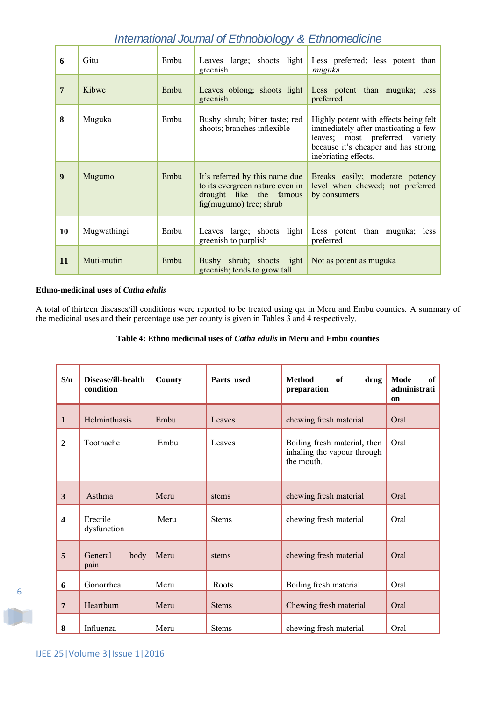| 6                | Gitu        | Embu | Leaves large; shoots light<br>greenish                                                                                  | Less preferred; less potent than<br>muguka                                                                                                                                    |
|------------------|-------------|------|-------------------------------------------------------------------------------------------------------------------------|-------------------------------------------------------------------------------------------------------------------------------------------------------------------------------|
| $7\phantom{.0}$  | Kibwe       | Embu | Leaves oblong; shoots light<br>greenish                                                                                 | Less potent than muguka; less<br>preferred                                                                                                                                    |
| 8                | Muguka      | Embu | Bushy shrub; bitter taste; red<br>shoots; branches inflexible                                                           | Highly potent with effects being felt<br>immediately after masticating a few<br>leaves; most preferred variety<br>because it's cheaper and has strong<br>inebriating effects. |
| $\boldsymbol{9}$ | Mugumo      | Embu | It's referred by this name due<br>to its evergreen nature even in<br>drought like the famous<br>fig(mugumo) tree; shrub | Breaks easily; moderate potency<br>level when chewed; not preferred<br>by consumers                                                                                           |
| 10               | Mugwathingi | Embu | Leaves large; shoots light<br>greenish to purplish                                                                      | Less potent than muguka; less<br>preferred                                                                                                                                    |
| <b>11</b>        | Muti-mutiri | Embu | Bushy shrub; shoots light<br>greenish; tends to grow tall                                                               | Not as potent as muguka                                                                                                                                                       |

# **Ethno-medicinal uses of** *Catha edulis*

A total of thirteen diseases/ill conditions were reported to be treated using qat in Meru and Embu counties. A summary of the medicinal uses and their percentage use per county is given in Tables 3 and 4 respectively.

### **Table 4: Ethno medicinal uses of** *Catha edulis* **in Meru and Embu counties**

| S/n                     | Disease/ill-health<br>condition | County | Parts used   | <b>Method</b><br>of<br>drug<br>preparation                                | Mode<br>of<br>administrati<br><b>on</b> |
|-------------------------|---------------------------------|--------|--------------|---------------------------------------------------------------------------|-----------------------------------------|
| $\mathbf{1}$            | Helminthiasis                   | Embu   | Leaves       | chewing fresh material                                                    | Oral                                    |
| $\overline{2}$          | Toothache                       | Embu   | Leaves       | Boiling fresh material, then<br>inhaling the vapour through<br>the mouth. | Oral                                    |
| 3                       | Asthma                          | Meru   | stems        | chewing fresh material                                                    | Oral                                    |
| $\overline{\mathbf{4}}$ | Erectile<br>dysfunction         | Meru   | <b>Stems</b> | chewing fresh material                                                    | Oral                                    |
| 5                       | General<br>body<br>pain         | Meru   | stems        | chewing fresh material                                                    | Oral                                    |
| 6                       | Gonorrhea                       | Meru   | Roots        | Boiling fresh material                                                    | Oral                                    |
| $7\phantom{.0}$         | Heartburn                       | Meru   | <b>Stems</b> | Chewing fresh material                                                    | Oral                                    |
| 8                       | Influenza                       | Meru   | <b>Stems</b> | chewing fresh material                                                    | Oral                                    |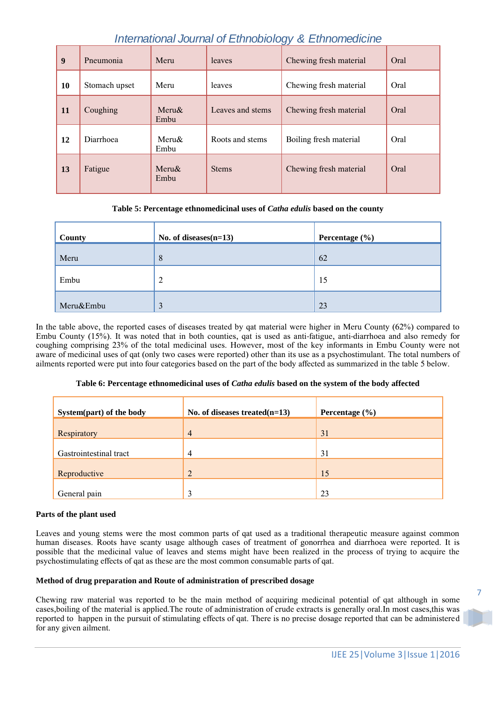| 9  | Pneumonia     | Meru                 | leaves           | Chewing fresh material | Oral |
|----|---------------|----------------------|------------------|------------------------|------|
| 10 | Stomach upset | Meru                 | leaves           | Chewing fresh material | Oral |
| 11 | Coughing      | $M$ eru $\&$<br>Embu | Leaves and stems | Chewing fresh material | Oral |
| 12 | Diarrhoea     | Meru&<br>Embu        | Roots and stems  | Boiling fresh material | Oral |
| 13 | Fatigue       | $Meru\&$<br>Embu     | <b>Stems</b>     | Chewing fresh material | Oral |

# **Table 5: Percentage ethnomedicinal uses of** *Catha edulis* **based on the county**

| County    | No. of diseases $(n=13)$ | Percentage (%) |
|-----------|--------------------------|----------------|
| Meru      | 8                        | 62             |
| Embu      | $\overline{2}$           | 15             |
| Meru&Embu | 3                        | 23             |

In the table above, the reported cases of diseases treated by qat material were higher in Meru County (62%) compared to Embu County (15%). It was noted that in both counties, qat is used as anti-fatigue, anti-diarrhoea and also remedy for coughing comprising 23% of the total medicinal uses. However, most of the key informants in Embu County were not aware of medicinal uses of qat (only two cases were reported) other than its use as a psychostimulant. The total numbers of ailments reported were put into four categories based on the part of the body affected as summarized in the table 5 below.

# **Table 6: Percentage ethnomedicinal uses of** *Catha edulis* **based on the system of the body affected**

| System(part) of the body | No. of diseases treated $(n=13)$ | Percentage $(\% )$ |
|--------------------------|----------------------------------|--------------------|
| Respiratory              | $\overline{4}$                   | 31                 |
| Gastrointestinal tract   | 4                                | 31                 |
| Reproductive             | $\overline{2}$                   | 15                 |
| General pain             | 3                                | 23                 |

# **Parts of the plant used**

Leaves and young stems were the most common parts of qat used as a traditional therapeutic measure against common human diseases. Roots have scanty usage although cases of treatment of gonorrhea and diarrhoea were reported. It is possible that the medicinal value of leaves and stems might have been realized in the process of trying to acquire the psychostimulating effects of qat as these are the most common consumable parts of qat.

# **Method of drug preparation and Route of administration of prescribed dosage**

Chewing raw material was reported to be the main method of acquiring medicinal potential of qat although in some cases,boiling of the material is applied.The route of administration of crude extracts is generally oral.In most cases,this was reported to happen in the pursuit of stimulating effects of qat. There is no precise dosage reported that can be administered for any given ailment.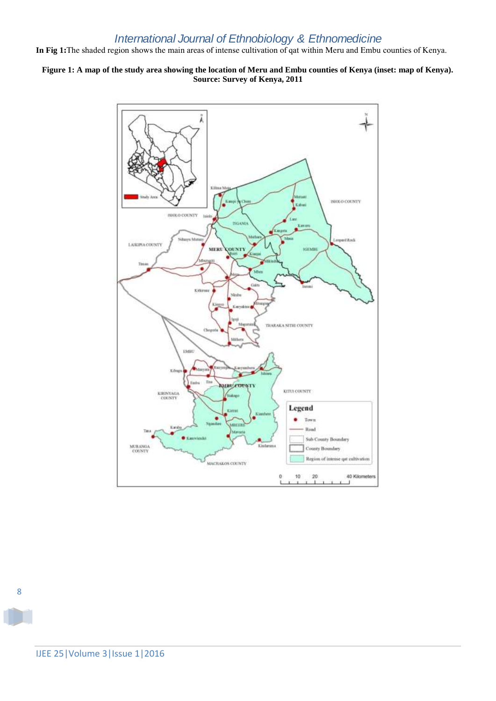**In Fig 1:**The shaded region shows the main areas of intense cultivation of qat within Meru and Embu counties of Kenya.

# **Figure 1: A map of the study area showing the location of Meru and Embu counties of Kenya (inset: map of Kenya). Source: Survey of Kenya, 2011**



8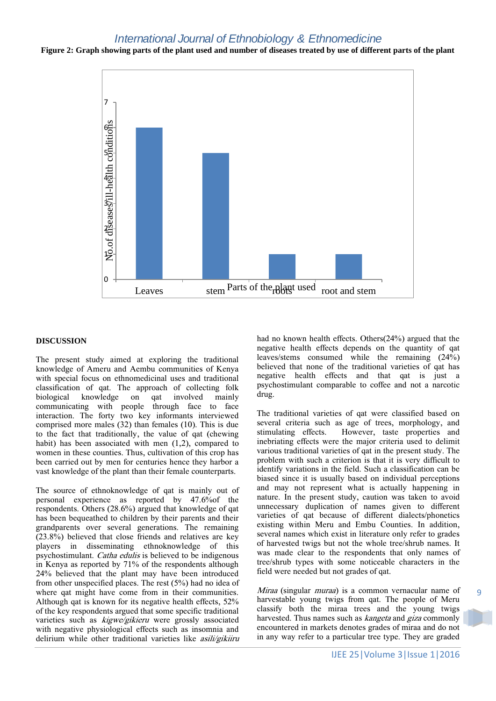**Figure 2: Graph showing parts of the plant used and number of diseases treated by use of different parts of the plant**



### **DISCUSSION**

The present study aimed at exploring the traditional knowledge of Ameru and Aembu communities of Kenya with special focus on ethnomedicinal uses and traditional classification of qat. The approach of collecting folk biological knowledge on qat involved mainly communicating with people through face to face interaction. The forty two key informants interviewed comprised more males (32) than females (10). This is due to the fact that traditionally, the value of qat (chewing habit) has been associated with men (1,2), compared to women in these counties. Thus, cultivation of this crop has been carried out by men for centuries hence they harbor a vast knowledge of the plant than their female counterparts.

The source of ethnoknowledge of qat is mainly out of personal experience as reported by 47.6%of the respondents. Others (28.6%) argued that knowledge of qat has been bequeathed to children by their parents and their grandparents over several generations. The remaining  $(23.8\%)$  believed that close friends and relatives are key players in disseminating ethnoknowledge of this psychostimulant. Catha edulis is believed to be indigenous in Kenya as reported by 71% of the respondents although 24% believed that the plant may have been introduced from other unspecified places. The rest (5%) had no idea of where qat might have come from in their communities. Although qat is known for its negative health effects, 52% of the key respondents argued that some specific traditional varieties such as kigwe/gikieru were grossly associated with negative physiological effects such as insomnia and delirium while other traditional varieties like asili/gikiiru

had no known health effects. Others(24%) argued that the negative health effects depends on the quantity of qat leaves/stems consumed while the remaining (24%) believed that none of the traditional varieties of qat has negative health effects and that qat is just a psychostimulant comparable to coffee and not a narcotic drug.

The traditional varieties of qat were classified based on several criteria such as age of trees, morphology, and stimulating effects. However, taste properties and inebriating effects were the major criteria used to delimit various traditional varieties of qat in the present study. The problem with such a criterion is that it is very difficult to identify variations in the field. Such a classification can be biased since it is usually based on individual perceptions and may not represent what is actually happening in nature. In the present study, caution was taken to avoid unnecessary duplication of names given to different varieties of qat because of different dialects/phonetics existing within Meru and Embu Counties. In addition, several names which exist in literature only refer to grades of harvested twigs but not the whole tree/shrub names. It was made clear to the respondents that only names of tree/shrub types with some noticeable characters in the field were needed but not grades of qat.

Miraa (singular muraa) is a common vernacular name of harvestable young twigs from qat. The people of Meru classify both the miraa trees and the young twigs harvested. Thus names such as kangeta and giza commonly encountered in markets denotes grades of miraa and do not in any way refer to a particular tree type. They are graded

9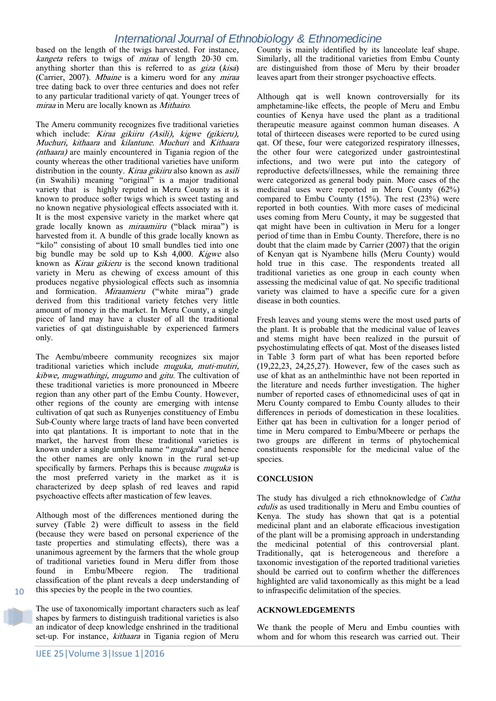based on the length of the twigs harvested. For instance, kangeta refers to twigs of miraa of length 20-30 cm. anything shorter than this is referred to as giza (kisa) (Carrier, 2007). Mbaine is a kimeru word for any miraa tree dating back to over three centuries and does not refer to any particular traditional variety of qat. Younger trees of miraa in Meru are locally known as Mithairo.

The Ameru community recognizes five traditional varieties which include: Kiraa gikiiru (Asili), kigwe (gikieru), Muchuri, kithaara and kilantune. Muchuri and Kithaara (nthaara) are mainly encountered in Tigania region of the county whereas the other traditional varieties have uniform distribution in the county. *Kiraa gikiiru* also known as *asili* (in Swahili) meaning 'original' is a major traditional variety that is highly reputed in Meru County as it is known to produce softer twigs which is sweet tasting and no known negative physiological effects associated with it. It is the most expensive variety in the market where qat grade locally known as miraamiiru ('black miraa') is harvested from it. A bundle of this grade locally known as "kilo" consisting of about 10 small bundles tied into one big bundle may be sold up to Ksh 4,000. Kigwe also known as Kiraa gikieru is the second known traditional variety in Meru as chewing of excess amount of this produces negative physiological effects such as insomnia and formication. Miraamieru ('white miraa') grade derived from this traditional variety fetches very little amount of money in the market. In Meru County, a single piece of land may have a cluster of all the traditional varieties of qat distinguishable by experienced farmers only.

The Aembu/mbeere community recognizes six major traditional varieties which include muguka, muti-mutiri, kibwe, mugwathingi, mugumo and gitu. The cultivation of these traditional varieties is more pronounced in Mbeere region than any other part of the Embu County. However, other regions of the county are emerging with intense cultivation of qat such as Runyenjes constituency of Embu Sub-County where large tracts of land have been converted into qat plantations. It is important to note that in the market, the harvest from these traditional varieties is known under a single umbrella name "*muguka*" and hence the other names are only known in the rural set-up specifically by farmers. Perhaps this is because *muguka* is the most preferred variety in the market as it is characterized by deep splash of red leaves and rapid psychoactive effects after mastication of few leaves.

Although most of the differences mentioned during the survey (Table 2) were difficult to assess in the field (because they were based on personal experience of the taste properties and stimulating effects), there was a unanimous agreement by the farmers that the whole group of traditional varieties found in Meru differ from those found in Embu/Mbeere region. The traditional classification of the plant reveals a deep understanding of this species by the people in the two counties.

The use of taxonomically important characters such as leaf shapes by farmers to distinguish traditional varieties is also an indicator of deep knowledge enshrined in the traditional set-up. For instance, kithaara in Tigania region of Meru

10

County is mainly identified by its lanceolate leaf shape. Similarly, all the traditional varieties from Embu County are distinguished from those of Meru by their broader leaves apart from their stronger psychoactive effects.

Although qat is well known controversially for its amphetamine-like effects, the people of Meru and Embu counties of Kenya have used the plant as a traditional therapeutic measure against common human diseases. A total of thirteeen diseases were reported to be cured using qat. Of these, four were categorized respiratory illnesses, the other four were categorized under gastrointestinal infections, and two were put into the category of reproductive defects/illnesses, while the remaining three were categorized as general body pain. More cases of the medicinal uses were reported in Meru County (62%) compared to Embu County  $(15\%)$ . The rest  $(23\%)$  were reported in both counties. With more cases of medicinal uses coming from Meru County, it may be suggested that qat might have been in cultivation in Meru for a longer period of time than in Embu County. Therefore, there is no doubt that the claim made by Carrier (2007) that the origin of Kenyan qat is Nyambene hills (Meru County) would hold true in this case. The respondents treated all traditional varieties as one group in each county when assessing the medicinal value of qat. No specific traditional variety was claimed to have a specific cure for a given disease in both counties.

Fresh leaves and young stems were the most used parts of the plant. It is probable that the medicinal value of leaves and stems might have been realized in the pursuit of psychostimulating effects of qat. Most of the diseases listed in Table 3 form part of what has been reported before (19,22,23, 24,25,27). However, few of the cases such as use of khat as an anthelminthic have not been reported in the literature and needs further investigation. The higher number of reported cases of ethnomedicinal uses of qat in Meru County compared to Embu County alludes to their differences in periods of domestication in these localities. Either qat has been in cultivation for a longer period of time in Meru compared to Embu/Mbeere or perhaps the two groups are different in terms of phytochemical constituents responsible for the medicinal value of the species.

### **CONCLUSION**

The study has divulged a rich ethnoknowledge of Catha edulis as used traditionally in Meru and Embu counties of Kenya. The study has shown that qat is a potential medicinal plant and an elaborate efficacious investigation of the plant will be a promising approach in understanding the medicinal potential of this controversial plant. Traditionally, qat is heterogeneous and therefore a taxonomic investigation of the reported traditional varieties should be carried out to confirm whether the differences highlighted are valid taxonomically as this might be a lead to infraspecific delimitation of the species.

### **ACKNOWLEDGEMENTS**

We thank the people of Meru and Embu counties with whom and for whom this research was carried out. Their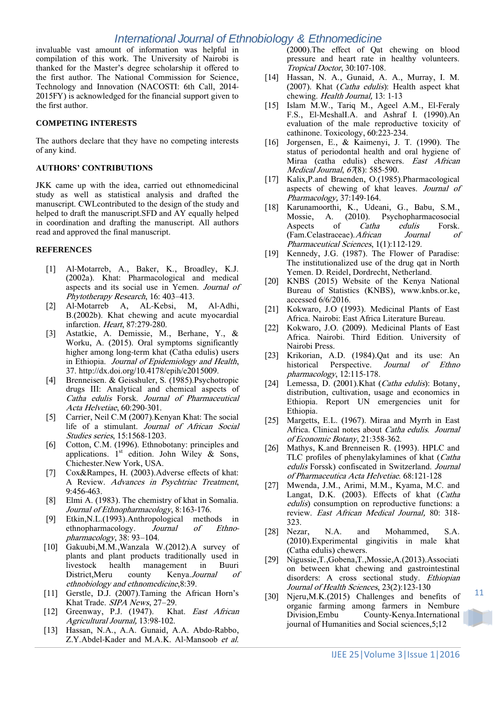invaluable vast amount of information was helpful in compilation of this work. The University of Nairobi is thanked for the Master's degree scholarship it offered to the first author. The National Commission for Science, Technology and Innovation (NACOSTI: 6th Call, 2014- 2015FY) is acknowledged for the financial support given to the first author.

### **COMPETING INTERESTS**

The authors declare that they have no competing interests of any kind.

### **AUTHORS' CONTRIBUTIONS**

JKK came up with the idea, carried out ethnomedicinal study as well as statistical analysis and drafted the manuscript. CWLcontributed to the design of the study and helped to draft the manuscript.SFD and AY equally helped in coordination and drafting the manuscript. All authors read and approved the final manuscript.

### **REFERENCES**

- [1] Al-Motarreb, A., Baker, K., Broadley, K.J. (2002a). Khat: Pharmacological and medical aspects and its social use in Yemen. Journal of Phytotherapy Research, 16: 403–413.
- [2] Al-Motarreb A, AL-Kebsi, M, Al-Adhi, B.(2002b). Khat chewing and acute myocardial infarction. Heart, 87:279-280.
- [3] Astatkie, A. Demissie, M., Berhane, Y., & Worku, A. (2015). Oral symptoms significantly higher among long-term khat (Catha edulis) users in Ethiopia. Journal of Epidemiology and Health, 37. http://dx.doi.org/10.4178/epih/e2015009.
- [4] Brenneisen. & Geisshuler, S. (1985).Psychotropic drugs III: Analytical and chemical aspects of Catha edulis Forsk. Journal of Pharmaceutical Acta Helvetiae, 60:290-301.
- [5] Carrier, Neil C.M (2007).Kenyan Khat: The social life of a stimulant. Journal of African Social Studies series, 15:1568-1203.
- [6] Cotton, C.M. (1996). Ethnobotany: principles and applications.  $1<sup>st</sup>$  edition. John Wiley & Sons, Chichester.New York, USA.
- [7] Cox&Rampes, H. (2003).Adverse effects of khat: A Review. Advances in Psychtriac Treatment, 9:456-463.
- [8] Elmi A. (1983). The chemistry of khat in Somalia. Journal of Ethnopharmacology, 8:163-176.
- [9] Etkin,N.L.(1993).Anthropological methods in ethnopharmacology. Journal of Ethnopharmacology, 38: 93–104.
- [10] Gakuubi,M.M.,Wanzala W.(2012).A survey of plants and plant products traditionally used in livestock health management in Buuri District,Meru county Kenya.Journal of ethnobiology and ethnomedicine,8:39.
- [11] Gerstle, D.J. (2007).Taming the African Horn's Khat Trade. SIPA News, 27–29.
- [12] Greenway, P.J. (1947). Khat. East African Agricultural Journal, 13:98-102.
- [13] Hassan, N.A., A.A. Gunaid, A.A. Abdo-Rabbo, Z.Y.Abdel-Kader and M.A.K. Al-Mansoob et al.

(2000).The effect of Qat chewing on blood pressure and heart rate in healthy volunteers. Tropical Doctor, 30:107-108.

- [14] Hassan, N. A., Gunaid, A. A., Murray, I. M. (2007). Khat (Catha edulis): Health aspect khat chewing. Health Journal, 13: 1-13
- [15] Islam M.W., Tariq M., Ageel A.M., El-Feraly F.S., El-MeshalI.A. and Ashraf I. (1990).An evaluation of the male reproductive toxicity of cathinone. Toxicology, 60:223-234.
- [16] Jorgensen, E., & Kaimenyi, J. T. (1990). The status of periodontal health and oral hygiene of Miraa (catha edulis) chewers. East African Medical Journal, 67(8): 585-590.
- [17] Kalix, P. and Braenden, O. (1985). Pharmacological aspects of chewing of khat leaves. Journal of Pharmacology, 37:149-164.
- [18] Karunamoorthi, K., Udeani, G., Babu, S.M., Mossie, A. (2010). Psychopharmacosocial<br>Aspects of *Catha edulis* Forsk. Aspects of Catha edulis Forsk. (Fam.Celastraceae).African Journal of Pharmaceutical Sciences, 1(1):112-129.
- [19] Kennedy, J.G. (1987). The Flower of Paradise: The institutionalized use of the drug qat in North Yemen. D. Reidel, Dordrecht, Netherland.
- [20] KNBS (2015) Website of the Kenya National Bureau of Statistics (KNBS), www.knbs.or.ke, accessed 6/6/2016.
- [21] Kokwaro, J.O (1993). Medicinal Plants of East Africa. Nairobi: East Africa Literature Bureau.
- [22] Kokwaro, J.O. (2009). Medicinal Plants of East Africa. Nairobi. Third Edition. University of Nairobi Press.
- [23] Krikorian, A.D. (1984).Qat and its use: An historical Perspective. Journal of Ethno pharmacology, 12:115-178.
- [24] Lemessa, D. (2001). Khat (Catha edulis): Botany, distribution, cultivation, usage and economics in Ethiopia. Report UN emergencies unit for Ethiopia.
- [25] Margetts, E.L. (1967). Miraa and Myrrh in East Africa. Clinical notes about Catha edulis. Journal of Economic Botany, 21:358-362.
- [26] Mathys, K.and Brenneisen R. (1993). HPLC and TLC profiles of phenylakylamines of khat (Catha edulis Forssk) confiscated in Switzerland. Journal of Pharmaceutica Acta Helvetiae. 68:121-128
- [27] Mwenda, J.M., Arimi, M.M., Kyama, M.C. and Langat, D.K. (2003). Effects of khat (Catha edulis) consumption on reproductive functions: a review. East African Medical Journal, 80: 318- 323.
- [28] Nezar, N.A. and Mohammed, S.A. (2010).Experimental gingivitis in male khat (Catha edulis) chewers.
- [29] Nigussie,T.,Gobena,T.,Mossie,A.(2013).Associati on between khat chewing and gastrointestinal disorders: A cross sectional study. Ethiopian Journal of Health Sciences, 23(2):123-130
- [30] Njeru,M.K.(2015) Challenges and benefits of organic farming among farmers in Nembure Division,Embu County-Kenya.International journal of Humanities and Social sciences,5;12